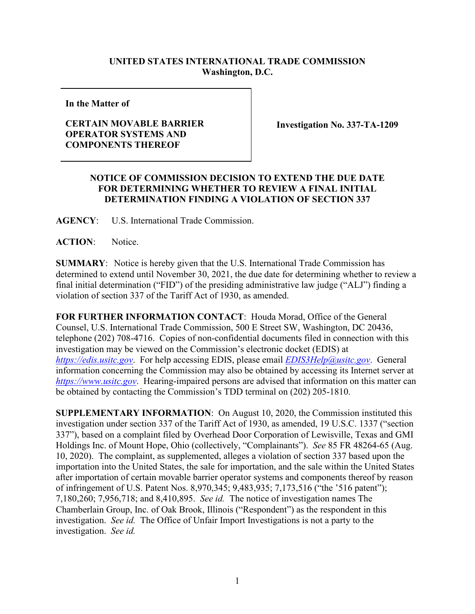## **UNITED STATES INTERNATIONAL TRADE COMMISSION Washington, D.C.**

**In the Matter of**

## **CERTAIN MOVABLE BARRIER OPERATOR SYSTEMS AND COMPONENTS THEREOF**

**Investigation No. 337-TA-1209**

## **NOTICE OF COMMISSION DECISION TO EXTEND THE DUE DATE FOR DETERMINING WHETHER TO REVIEW A FINAL INITIAL DETERMINATION FINDING A VIOLATION OF SECTION 337**

**AGENCY**: U.S. International Trade Commission.

ACTION: Notice.

**SUMMARY**: Notice is hereby given that the U.S. International Trade Commission has determined to extend until November 30, 2021, the due date for determining whether to review a final initial determination ("FID") of the presiding administrative law judge ("ALJ") finding a violation of section 337 of the Tariff Act of 1930, as amended.

**FOR FURTHER INFORMATION CONTACT**: Houda Morad, Office of the General Counsel, U.S. International Trade Commission, 500 E Street SW, Washington, DC 20436, telephone (202) 708-4716. Copies of non-confidential documents filed in connection with this investigation may be viewed on the Commission's electronic docket (EDIS) at *[https://edis.usitc.gov](https://edis.usitc.gov/)*. For help accessing EDIS, please email *[EDIS3Help@usitc.gov](mailto:EDIS3Help@usitc.gov)*. General information concerning the Commission may also be obtained by accessing its Internet server at *[https://www.usitc.gov](https://www.usitc.gov/)*. Hearing-impaired persons are advised that information on this matter can be obtained by contacting the Commission's TDD terminal on (202) 205-1810.

**SUPPLEMENTARY INFORMATION**: On August 10, 2020, the Commission instituted this investigation under section 337 of the Tariff Act of 1930, as amended, 19 U.S.C. 1337 ("section 337"), based on a complaint filed by Overhead Door Corporation of Lewisville, Texas and GMI Holdings Inc. of Mount Hope, Ohio (collectively, "Complainants"). *See* 85 FR 48264-65 (Aug. 10, 2020). The complaint, as supplemented, alleges a violation of section 337 based upon the importation into the United States, the sale for importation, and the sale within the United States after importation of certain movable barrier operator systems and components thereof by reason of infringement of U.S. Patent Nos. 8,970,345; 9,483,935; 7,173,516 ("the '516 patent"); 7,180,260; 7,956,718; and 8,410,895. *See id.* The notice of investigation names The Chamberlain Group, Inc. of Oak Brook, Illinois ("Respondent") as the respondent in this investigation. *See id.* The Office of Unfair Import Investigations is not a party to the investigation. *See id.*